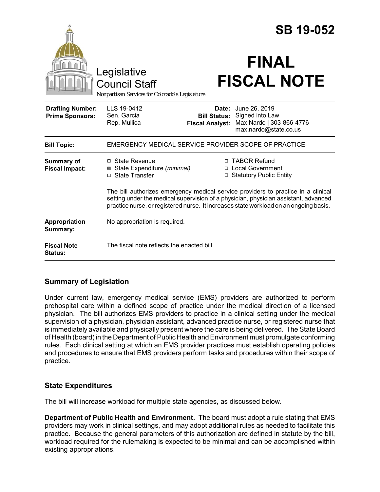|                                                   |                                                                                                                                                                                                                                                                   |                                                        | <b>SB 19-052</b>                                                                      |  |
|---------------------------------------------------|-------------------------------------------------------------------------------------------------------------------------------------------------------------------------------------------------------------------------------------------------------------------|--------------------------------------------------------|---------------------------------------------------------------------------------------|--|
|                                                   | Legislative<br><b>Council Staff</b><br>Nonpartisan Services for Colorado's Legislature                                                                                                                                                                            |                                                        | <b>FINAL</b><br><b>FISCAL NOTE</b>                                                    |  |
| <b>Drafting Number:</b><br><b>Prime Sponsors:</b> | LLS 19-0412<br>Sen. Garcia<br>Rep. Mullica                                                                                                                                                                                                                        | Date:<br><b>Bill Status:</b><br><b>Fiscal Analyst:</b> | June 26, 2019<br>Signed into Law<br>Max Nardo   303-866-4776<br>max.nardo@state.co.us |  |
| <b>Bill Topic:</b>                                | EMERGENCY MEDICAL SERVICE PROVIDER SCOPE OF PRACTICE                                                                                                                                                                                                              |                                                        |                                                                                       |  |
| Summary of<br><b>Fiscal Impact:</b>               | □ State Revenue<br>⊠ State Expenditure (minimal)<br>□ State Transfer                                                                                                                                                                                              |                                                        | □ TABOR Refund<br>□ Local Government<br>□ Statutory Public Entity                     |  |
|                                                   | The bill authorizes emergency medical service providers to practice in a clinical<br>setting under the medical supervision of a physician, physician assistant, advanced<br>practice nurse, or registered nurse. It increases state workload on an ongoing basis. |                                                        |                                                                                       |  |
| Appropriation<br>Summary:                         | No appropriation is required.                                                                                                                                                                                                                                     |                                                        |                                                                                       |  |
| <b>Fiscal Note</b><br>Status:                     | The fiscal note reflects the enacted bill.                                                                                                                                                                                                                        |                                                        |                                                                                       |  |

## **Summary of Legislation**

Under current law, emergency medical service (EMS) providers are authorized to perform prehospital care within a defined scope of practice under the medical direction of a licensed physician. The bill authorizes EMS providers to practice in a clinical setting under the medical supervision of a physician, physician assistant, advanced practice nurse, or registered nurse that is immediately available and physically present where the care is being delivered. The State Board of Health (board) in the Department of Public Health and Environment must promulgate conforming rules. Each clinical setting at which an EMS provider practices must establish operating policies and procedures to ensure that EMS providers perform tasks and procedures within their scope of practice.

## **State Expenditures**

The bill will increase workload for multiple state agencies, as discussed below.

**Department of Public Health and Environment.** The board must adopt a rule stating that EMS providers may work in clinical settings, and may adopt additional rules as needed to facilitate this practice. Because the general parameters of this authorization are defined in statute by the bill, workload required for the rulemaking is expected to be minimal and can be accomplished within existing appropriations.